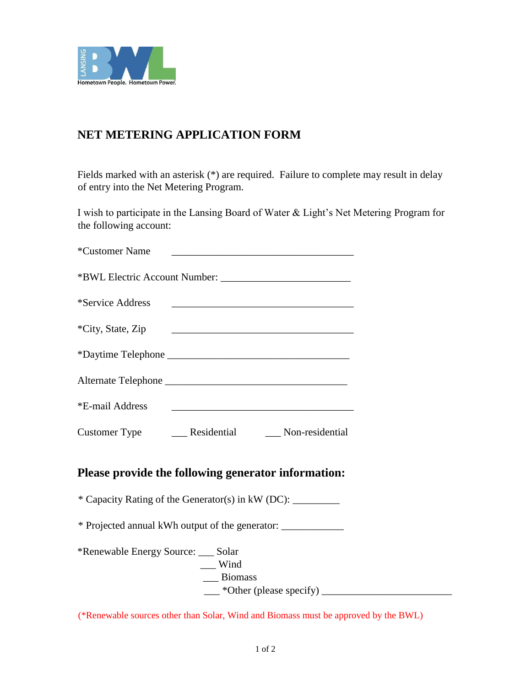

## **NET METERING APPLICATION FORM**

Fields marked with an asterisk (\*) are required. Failure to complete may result in delay of entry into the Net Metering Program.

I wish to participate in the Lansing Board of Water & Light's Net Metering Program for the following account:

| *Customer Name                      |                                                              |  |
|-------------------------------------|--------------------------------------------------------------|--|
|                                     |                                                              |  |
|                                     |                                                              |  |
|                                     |                                                              |  |
|                                     |                                                              |  |
|                                     |                                                              |  |
|                                     |                                                              |  |
|                                     | Customer Type ________ Residential _________ Non-residential |  |
|                                     | Please provide the following generator information:          |  |
|                                     | * Capacity Rating of the Generator(s) in kW (DC): _________  |  |
|                                     | * Projected annual kWh output of the generator: ____________ |  |
| *Renewable Energy Source: ___ Solar | $\equiv$ Wind<br>__ Biomass                                  |  |

(\*Renewable sources other than Solar, Wind and Biomass must be approved by the BWL)